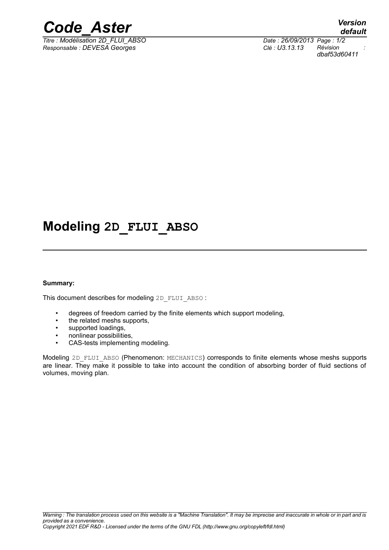

*Titre : Modélisation 2D\_FLUI\_ABSO Date : 26/09/2013 Page : 1/2 Responsable : DEVESA Georges Clé : U3.13.13 Révision :*

*default dbaf53d60411*

## **Modeling 2D\_FLUI\_ABSO**

#### **Summary:**

This document describes for modeling 2D\_FLUI\_ABSO :

- degrees of freedom carried by the finite elements which support modeling,
- the related meshs supports.
- supported loadings,
- nonlinear possibilities,
- CAS-tests implementing modeling.

Modeling 2D\_FLUI\_ABSO (Phenomenon: MECHANICS) corresponds to finite elements whose meshs supports are linear. They make it possible to take into account the condition of absorbing border of fluid sections of volumes, moving plan.